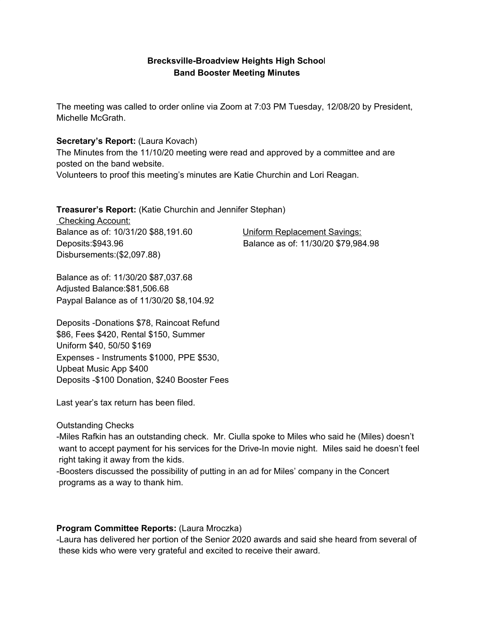## **Brecksville-Broadview Heights High Schoo**l **Band Booster Meeting Minutes**

The meeting was called to order online via Zoom at 7:03 PM Tuesday, 12/08/20 by President, Michelle McGrath.

## **Secretary's Report:** (Laura Kovach)

The Minutes from the 11/10/20 meeting were read and approved by a committee and are posted on the band website.

Volunteers to proof this meeting's minutes are Katie Churchin and Lori Reagan.

**Treasurer's Report:** (Katie Churchin and Jennifer Stephan)

Checking Account: Balance as of: 10/31/20 \$88,191.60 Uniform Replacement Savings: Disbursements:(\$2,097.88)

Deposits:\$943.96 Balance as of: 11/30/20 \$79,984.98

Balance as of: 11/30/20 \$87,037.68 Adjusted Balance:\$81,506.68 Paypal Balance as of 11/30/20 \$8,104.92

Deposits -Donations \$78, Raincoat Refund \$86, Fees \$420, Rental \$150, Summer Uniform \$40, 50/50 \$169 Expenses - Instruments \$1000, PPE \$530, Upbeat Music App \$400 Deposits -\$100 Donation, \$240 Booster Fees

Last year's tax return has been filed.

Outstanding Checks

-Miles Rafkin has an outstanding check. Mr. Ciulla spoke to Miles who said he (Miles) doesn't want to accept payment for his services for the Drive-In movie night. Miles said he doesn't feel right taking it away from the kids.

-Boosters discussed the possibility of putting in an ad for Miles' company in the Concert programs as a way to thank him.

## **Program Committee Reports:** (Laura Mroczka)

-Laura has delivered her portion of the Senior 2020 awards and said she heard from several of these kids who were very grateful and excited to receive their award.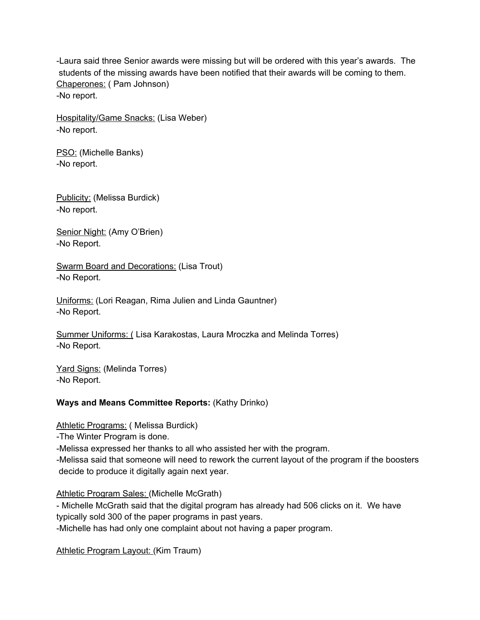-Laura said three Senior awards were missing but will be ordered with this year's awards. The students of the missing awards have been notified that their awards will be coming to them. Chaperones: ( Pam Johnson) -No report.

Hospitality/Game Snacks: (Lisa Weber) -No report.

PSO: (Michelle Banks) -No report.

Publicity: (Melissa Burdick) -No report.

Senior Night: (Amy O'Brien) -No Report.

Swarm Board and Decorations: (Lisa Trout) -No Report.

Uniforms: (Lori Reagan, Rima Julien and Linda Gauntner) -No Report.

Summer Uniforms: ( Lisa Karakostas, Laura Mroczka and Melinda Torres) -No Report.

Yard Signs: (Melinda Torres) -No Report.

## **Ways and Means Committee Reports:** (Kathy Drinko)

Athletic Programs: ( Melissa Burdick)

-The Winter Program is done.

-Melissa expressed her thanks to all who assisted her with the program.

-Melissa said that someone will need to rework the current layout of the program if the boosters decide to produce it digitally again next year.

Athletic Program Sales: (Michelle McGrath)

- Michelle McGrath said that the digital program has already had 506 clicks on it. We have typically sold 300 of the paper programs in past years.

-Michelle has had only one complaint about not having a paper program.

Athletic Program Layout: (Kim Traum)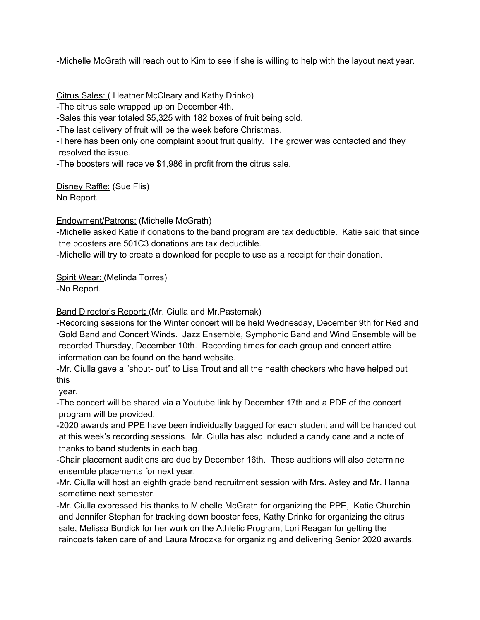-Michelle McGrath will reach out to Kim to see if she is willing to help with the layout next year.

Citrus Sales: ( Heather McCleary and Kathy Drinko)

-The citrus sale wrapped up on December 4th.

-Sales this year totaled \$5,325 with 182 boxes of fruit being sold.

-The last delivery of fruit will be the week before Christmas.

-There has been only one complaint about fruit quality. The grower was contacted and they resolved the issue.

-The boosters will receive \$1,986 in profit from the citrus sale.

Disney Raffle: (Sue Flis) No Report.

Endowment/Patrons: (Michelle McGrath)

-Michelle asked Katie if donations to the band program are tax deductible. Katie said that since the boosters are 501C3 donations are tax deductible.

-Michelle will try to create a download for people to use as a receipt for their donation.

Spirit Wear: (Melinda Torres)

-No Report.

Band Director's Report**:** (Mr. Ciulla and Mr.Pasternak)

-Recording sessions for the Winter concert will be held Wednesday, December 9th for Red and Gold Band and Concert Winds. Jazz Ensemble, Symphonic Band and Wind Ensemble will be recorded Thursday, December 10th. Recording times for each group and concert attire information can be found on the band website.

-Mr. Ciulla gave a "shout- out" to Lisa Trout and all the health checkers who have helped out this

year.

-The concert will be shared via a Youtube link by December 17th and a PDF of the concert program will be provided.

-2020 awards and PPE have been individually bagged for each student and will be handed out at this week's recording sessions. Mr. Ciulla has also included a candy cane and a note of thanks to band students in each bag.

-Chair placement auditions are due by December 16th. These auditions will also determine ensemble placements for next year.

-Mr. Ciulla will host an eighth grade band recruitment session with Mrs. Astey and Mr. Hanna sometime next semester.

-Mr. Ciulla expressed his thanks to Michelle McGrath for organizing the PPE, Katie Churchin and Jennifer Stephan for tracking down booster fees, Kathy Drinko for organizing the citrus sale, Melissa Burdick for her work on the Athletic Program, Lori Reagan for getting the raincoats taken care of and Laura Mroczka for organizing and delivering Senior 2020 awards.